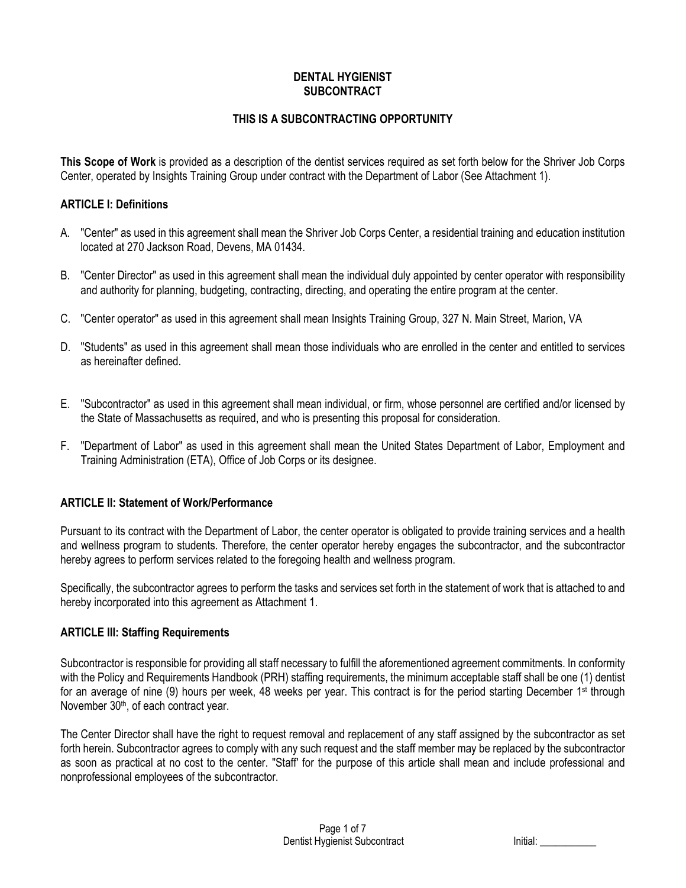#### **DENTAL HYGIENIST SUBCONTRACT**

# **THIS IS A SUBCONTRACTING OPPORTUNITY**

**This Scope of Work** is provided as a description of the dentist services required as set forth below for the Shriver Job Corps Center, operated by Insights Training Group under contract with the Department of Labor (See Attachment 1).

#### **ARTICLE I: Definitions**

- A. "Center" as used in this agreement shall mean the Shriver Job Corps Center, a residential training and education institution located at 270 Jackson Road, Devens, MA 01434.
- B. "Center Director" as used in this agreement shall mean the individual duly appointed by center operator with responsibility and authority for planning, budgeting, contracting, directing, and operating the entire program at the center.
- C. "Center operator" as used in this agreement shall mean Insights Training Group, 327 N. Main Street, Marion, VA
- D. "Students" as used in this agreement shall mean those individuals who are enrolled in the center and entitled to services as hereinafter defined.
- E. "Subcontractor" as used in this agreement shall mean individual, or firm, whose personnel are certified and/or licensed by the State of Massachusetts as required, and who is presenting this proposal for consideration.
- F. "Department of Labor" as used in this agreement shall mean the United States Department of Labor, Employment and Training Administration (ETA), Office of Job Corps or its designee.

# **ARTICLE II: Statement of Work/Performance**

Pursuant to its contract with the Department of Labor, the center operator is obligated to provide training services and a health and wellness program to students. Therefore, the center operator hereby engages the subcontractor, and the subcontractor hereby agrees to perform services related to the foregoing health and wellness program.

Specifically, the subcontractor agrees to perform the tasks and services set forth in the statement of work that is attached to and hereby incorporated into this agreement as Attachment 1.

#### **ARTICLE III: Staffing Requirements**

Subcontractor is responsible for providing all staff necessary to fulfill the aforementioned agreement commitments. In conformity with the Policy and Requirements Handbook (PRH) staffing requirements, the minimum acceptable staff shall be one (1) dentist for an average of nine (9) hours per week, 48 weeks per year. This contract is for the period starting December 1<sup>st</sup> through November 30<sup>th</sup>, of each contract year.

The Center Director shall have the right to request removal and replacement of any staff assigned by the subcontractor as set forth herein. Subcontractor agrees to comply with any such request and the staff member may be replaced by the subcontractor as soon as practical at no cost to the center. "Staff' for the purpose of this article shall mean and include professional and nonprofessional employees of the subcontractor.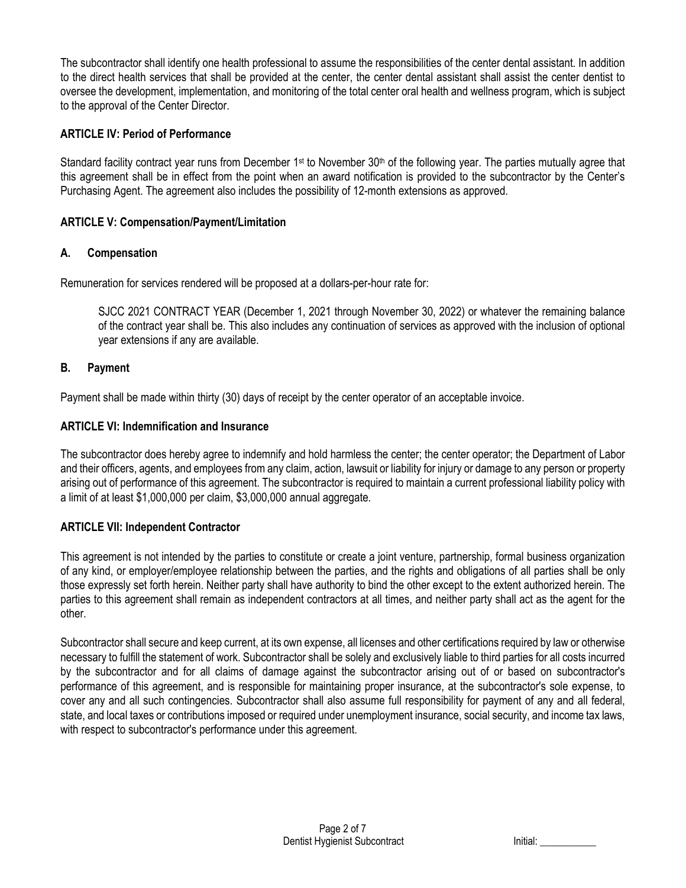The subcontractor shall identify one health professional to assume the responsibilities of the center dental assistant. In addition to the direct health services that shall be provided at the center, the center dental assistant shall assist the center dentist to oversee the development, implementation, and monitoring of the total center oral health and wellness program, which is subject to the approval of the Center Director.

# **ARTICLE IV: Period of Performance**

Standard facility contract year runs from December 1<sup>st</sup> to November 30<sup>th</sup> of the following year. The parties mutually agree that this agreement shall be in effect from the point when an award notification is provided to the subcontractor by the Center's Purchasing Agent. The agreement also includes the possibility of 12-month extensions as approved.

# **ARTICLE V: Compensation/Payment/Limitation**

# **A. Compensation**

Remuneration for services rendered will be proposed at a dollars-per-hour rate for:

SJCC 2021 CONTRACT YEAR (December 1, 2021 through November 30, 2022) or whatever the remaining balance of the contract year shall be. This also includes any continuation of services as approved with the inclusion of optional year extensions if any are available.

# **B. Payment**

Payment shall be made within thirty (30) days of receipt by the center operator of an acceptable invoice.

#### **ARTICLE VI: Indemnification and Insurance**

The subcontractor does hereby agree to indemnify and hold harmless the center; the center operator; the Department of Labor and their officers, agents, and employees from any claim, action, lawsuit or liability for injury or damage to any person or property arising out of performance of this agreement. The subcontractor is required to maintain a current professional liability policy with a limit of at least \$1,000,000 per claim, \$3,000,000 annual aggregate.

# **ARTICLE VII: Independent Contractor**

This agreement is not intended by the parties to constitute or create a joint venture, partnership, formal business organization of any kind, or employer/employee relationship between the parties, and the rights and obligations of all parties shall be only those expressly set forth herein. Neither party shall have authority to bind the other except to the extent authorized herein. The parties to this agreement shall remain as independent contractors at all times, and neither party shall act as the agent for the other.

Subcontractor shall secure and keep current, at its own expense, all licenses and other certifications required by law or otherwise necessary to fulfill the statement of work. Subcontractor shall be solely and exclusively liable to third parties for all costs incurred by the subcontractor and for all claims of damage against the subcontractor arising out of or based on subcontractor's performance of this agreement, and is responsible for maintaining proper insurance, at the subcontractor's sole expense, to cover any and all such contingencies. Subcontractor shall also assume full responsibility for payment of any and all federal, state, and local taxes or contributions imposed or required under unemployment insurance, social security, and income tax laws, with respect to subcontractor's performance under this agreement.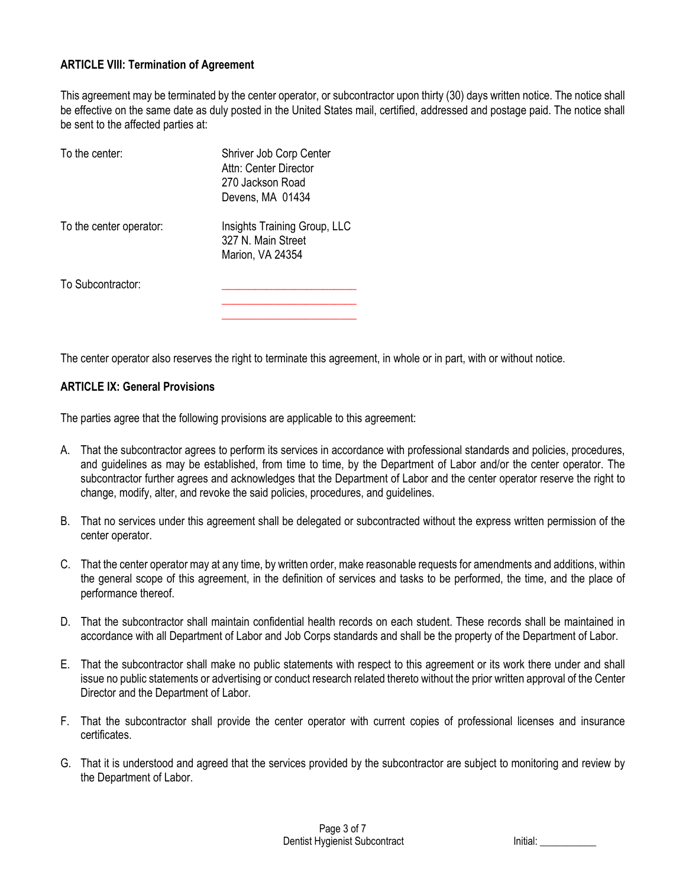#### **ARTICLE VIII: Termination of Agreement**

This agreement may be terminated by the center operator, or subcontractor upon thirty (30) days written notice. The notice shall be effective on the same date as duly posted in the United States mail, certified, addressed and postage paid. The notice shall be sent to the affected parties at:

| To the center:          | Shriver Job Corp Center<br>Attn: Center Director<br>270 Jackson Road<br>Devens, MA 01434 |
|-------------------------|------------------------------------------------------------------------------------------|
| To the center operator: | Insights Training Group, LLC<br>327 N. Main Street<br>Marion, VA 24354                   |
| To Subcontractor:       |                                                                                          |

The center operator also reserves the right to terminate this agreement, in whole or in part, with or without notice.

#### **ARTICLE IX: General Provisions**

The parties agree that the following provisions are applicable to this agreement:

- A. That the subcontractor agrees to perform its services in accordance with professional standards and policies, procedures, and guidelines as may be established, from time to time, by the Department of Labor and/or the center operator. The subcontractor further agrees and acknowledges that the Department of Labor and the center operator reserve the right to change, modify, alter, and revoke the said policies, procedures, and guidelines.
- B. That no services under this agreement shall be delegated or subcontracted without the express written permission of the center operator.
- C. That the center operator may at any time, by written order, make reasonable requests for amendments and additions, within the general scope of this agreement, in the definition of services and tasks to be performed, the time, and the place of performance thereof.
- D. That the subcontractor shall maintain confidential health records on each student. These records shall be maintained in accordance with all Department of Labor and Job Corps standards and shall be the property of the Department of Labor.
- E. That the subcontractor shall make no public statements with respect to this agreement or its work there under and shall issue no public statements or advertising or conduct research related thereto without the prior written approval of the Center Director and the Department of Labor.
- F. That the subcontractor shall provide the center operator with current copies of professional licenses and insurance certificates.
- G. That it is understood and agreed that the services provided by the subcontractor are subject to monitoring and review by the Department of Labor.

| Initial: |  |
|----------|--|
|          |  |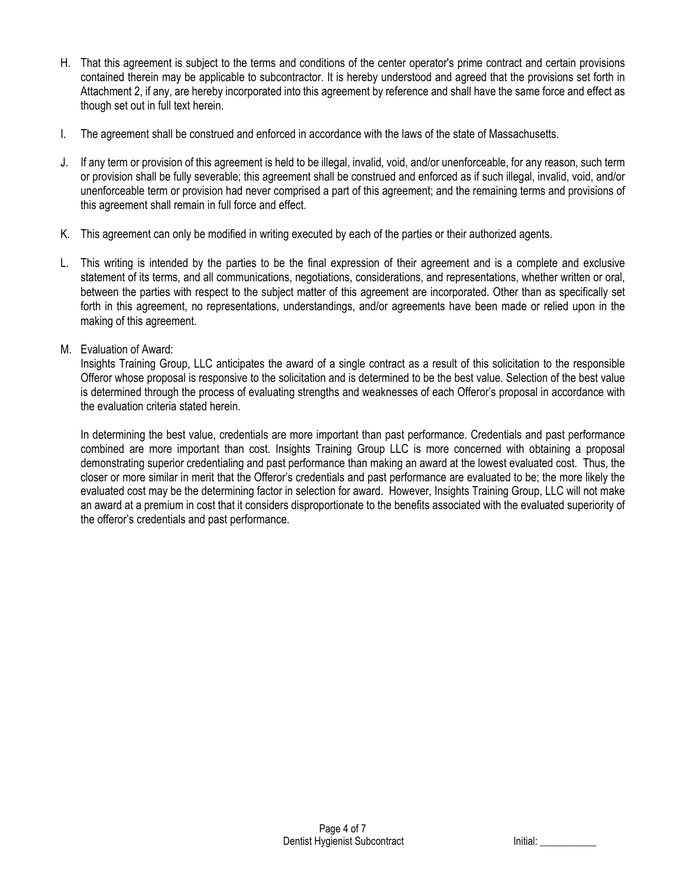- H. That this agreement is subject to the terms and conditions of the center operator's prime contract and certain provisions contained therein may be applicable to subcontractor. It is hereby understood and agreed that the provisions set forth in Attachment 2, if any, are hereby incorporated into this agreement by reference and shall have the same force and effect as though set out in full text herein.
- I. The agreement shall be construed and enforced in accordance with the laws of the state of Massachusetts.
- J. If any term or provision of this agreement is held to be illegal, invalid, void, and/or unenforceable, for any reason, such term or provision shall be fully severable; this agreement shall be construed and enforced as if such illegal, invalid, void, and/or unenforceable term or provision had never comprised a part of this agreement; and the remaining terms and provisions of this agreement shall remain in full force and effect.
- K. This agreement can only be modified in writing executed by each of the parties or their authorized agents.
- L. This writing is intended by the parties to be the final expression of their agreement and is a complete and exclusive statement of its terms, and all communications, negotiations, considerations, and representations, whether written or oral, between the parties with respect to the subject matter of this agreement are incorporated. Other than as specifically set forth in this agreement, no representations, understandings, and/or agreements have been made or relied upon in the making of this agreement.
- M. Evaluation of Award:

Insights Training Group, LLC anticipates the award of a single contract as a result of this solicitation to the responsible Offeror whose proposal is responsive to the solicitation and is determined to be the best value. Selection of the best value is determined through the process of evaluating strengths and weaknesses of each Offeror's proposal in accordance with the evaluation criteria stated herein.

In determining the best value, credentials are more important than past performance. Credentials and past performance combined are more important than cost. Insights Training Group LLC is more concerned with obtaining a proposal demonstrating superior credentialing and past performance than making an award at the lowest evaluated cost. Thus, the closer or more similar in merit that the Offeror's credentials and past performance are evaluated to be; the more likely the evaluated cost may be the determining factor in selection for award. However, Insights Training Group, LLC will not make an award at a premium in cost that it considers disproportionate to the benefits associated with the evaluated superiority of the offeror's credentials and past performance.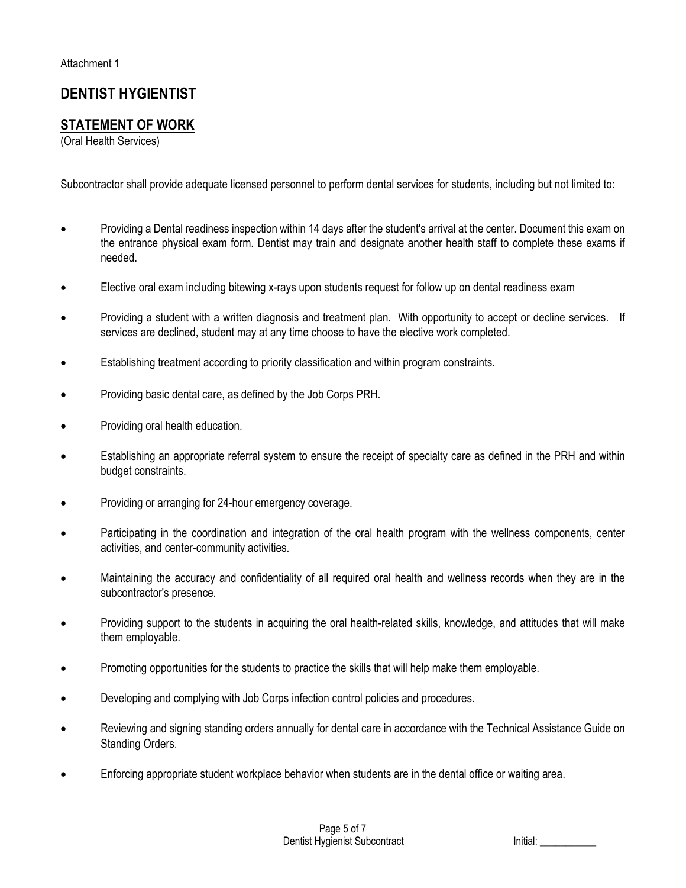# **DENTIST HYGIENTIST**

# **STATEMENT OF WORK**

(Oral Health Services)

Subcontractor shall provide adequate licensed personnel to perform dental services for students, including but not limited to:

- Providing a Dental readiness inspection within 14 days after the student's arrival at the center. Document this exam on the entrance physical exam form. Dentist may train and designate another health staff to complete these exams if needed.
- Elective oral exam including bitewing x-rays upon students request for follow up on dental readiness exam
- Providing a student with a written diagnosis and treatment plan. With opportunity to accept or decline services. If services are declined, student may at any time choose to have the elective work completed.
- Establishing treatment according to priority classification and within program constraints.
- Providing basic dental care, as defined by the Job Corps PRH.
- Providing oral health education.
- Establishing an appropriate referral system to ensure the receipt of specialty care as defined in the PRH and within budget constraints.
- Providing or arranging for 24-hour emergency coverage.
- Participating in the coordination and integration of the oral health program with the wellness components, center activities, and center-community activities.
- Maintaining the accuracy and confidentiality of all required oral health and wellness records when they are in the subcontractor's presence.
- Providing support to the students in acquiring the oral health-related skills, knowledge, and attitudes that will make them employable.
- Promoting opportunities for the students to practice the skills that will help make them employable.
- Developing and complying with Job Corps infection control policies and procedures.
- Reviewing and signing standing orders annually for dental care in accordance with the Technical Assistance Guide on Standing Orders.
- Enforcing appropriate student workplace behavior when students are in the dental office or waiting area.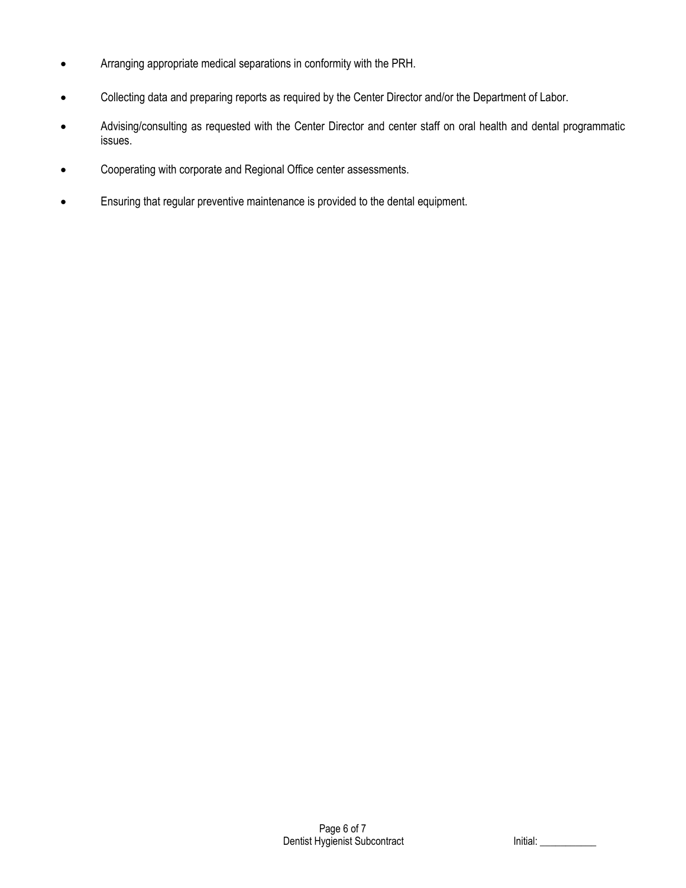- Arranging appropriate medical separations in conformity with the PRH.
- Collecting data and preparing reports as required by the Center Director and/or the Department of Labor.
- Advising/consulting as requested with the Center Director and center staff on oral health and dental programmatic issues.
- Cooperating with corporate and Regional Office center assessments.
- Ensuring that regular preventive maintenance is provided to the dental equipment.